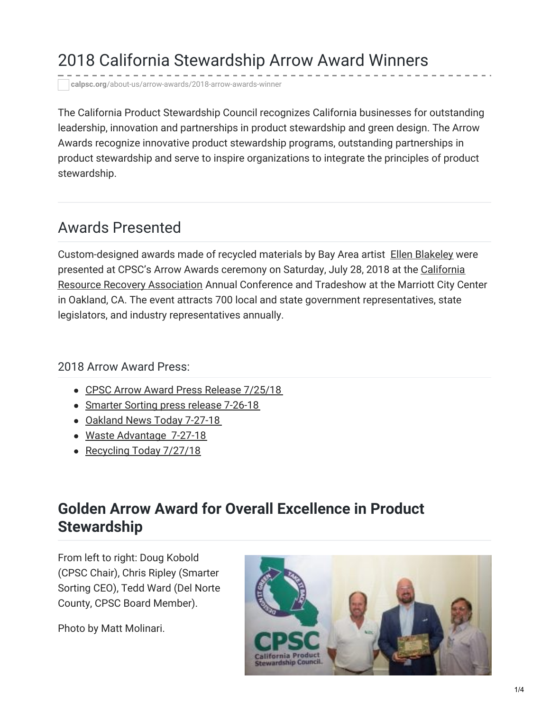# 2018 California Stewardship Arrow Award Winners

**calpsc.org**[/about-us/arrow-awards/2018-arrow-awards-winner](https://calpsc.org/about-us/arrow-awards/2018-arrow-awards-winner/)

The California Product Stewardship Council recognizes California businesses for outstanding leadership, innovation and partnerships in product stewardship and green design. The Arrow Awards recognize innovative product stewardship programs, outstanding partnerships in product stewardship and serve to inspire organizations to integrate the principles of product stewardship.

#### Awards Presented

Custom-designed awards made of recycled materials by Bay Area artist Ellen [Blakeley](http://www.ellenblakeley.com/) were presented at CPSC's Arrow Awards ceremony on Saturday, July 28, 2018 at the California Resource Recovery [Association](http://www.crra.com/) Annual Conference and Tradeshow at the Marriott City Center in Oakland, CA. The event attracts 700 local and state government representatives, state legislators, and industry representatives annually.

#### 2018 Arrow Award Press:

- CPSC Arrow Award Press Release [7/25/18](https://calpsc.org/mobius/cpsc-content/uploads/2018/07/2018-Arrow-Awards-Press-Release-Final.pdf)
- [Smarter](https://calpsc.org/mobius/cpsc-content/uploads/2018/08/Smarter-Sorting-press-release-7-26-18.pdf) Sorting press release 7-26-18
- [Oakland](https://calpsc.org/mobius/cpsc-content/uploads/2018/08/Oakland-News-Press-Release-pick-up-7-27-18.pdf) News Today 7-27-18
- Waste [Advantage](https://calpsc.org/mobius/cpsc-content/uploads/2018/08/Waste-Advantage-Press-Release-pick-up-7-27-18.pdf) 7-27-18
- [Recycling](https://calpsc.org/mobius/cpsc-content/uploads/2018/08/recyclingtoday.com-article-on-Smarter-Sorting-golden-arrow.pdf) Today 7/27/18

# **Golden Arrow Award for Overall Excellence in Product Stewardship**

From left to right: Doug Kobold (CPSC Chair), Chris Ripley (Smarter Sorting CEO), Tedd Ward (Del Norte County, CPSC Board Member).

Photo by Matt Molinari.

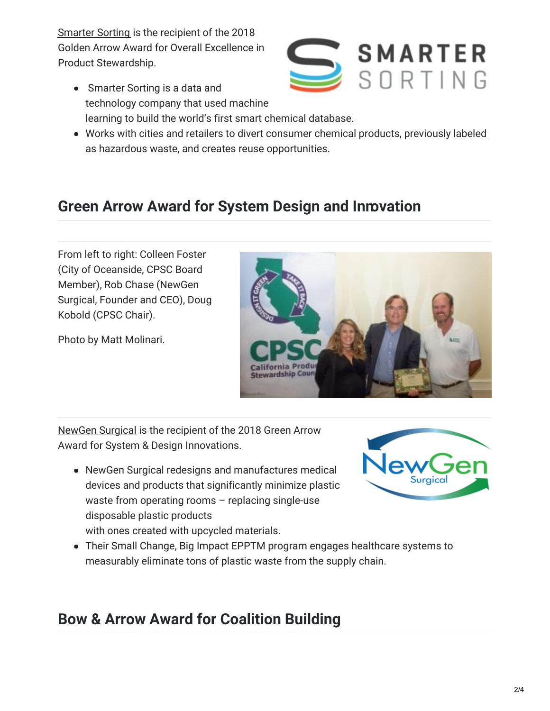[Smarter](http://smartersorting.com/) Sorting is the recipient of the 2018 Golden Arrow Award for Overall Excellence in Product Stewardship.

- Smarter Sorting is a data and technology company that used machine learning to build the world's first smart chemical database.
- Works with cities and retailers to divert consumer chemical products, previously labeled as hazardous waste, and creates reuse opportunities.

# **Green Arrow Award for System Design and Innovation**

From left to right: Colleen Foster (City of Oceanside, CPSC Board Member), Rob Chase (NewGen Surgical, Founder and CEO), Doug Kobold (CPSC Chair).

Photo by Matt Molinari.

[NewGen](http://newgensurgical.com/) Surgical is the recipient of the 2018 Green Arrow Award for System & Design Innovations.

- NewGen Surgical redesigns and manufactures medical devices and products that significantly minimize plastic waste from operating rooms – replacing single-use disposable plastic products with ones created with upcycled materials.
- Their Small Change, Big Impact EPPTM program engages healthcare systems to measurably eliminate tons of plastic waste from the supply chain.

### **Bow & Arrow Award for Coalition Building**





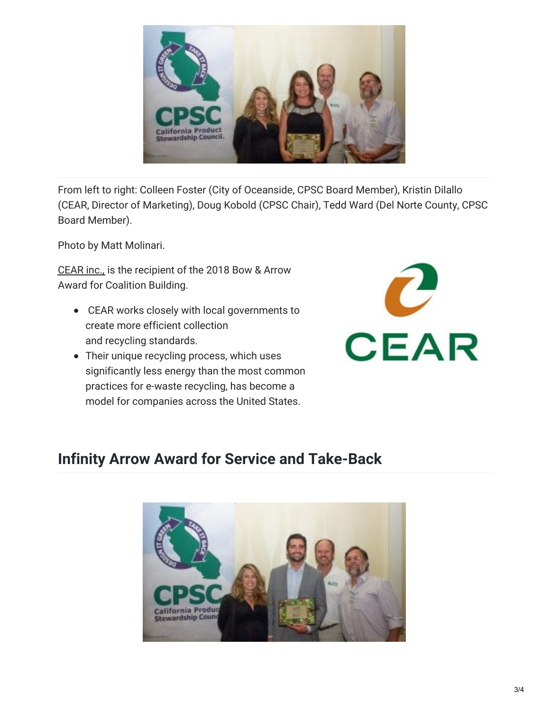

From left to right: Colleen Foster (City of Oceanside, CPSC Board Member), Kristin Dilallo (CEAR, Director of Marketing), Doug Kobold (CPSC Chair), Tedd Ward (Del Norte County, CPSC Board Member).

Photo by Matt Molinari.

[CEAR](http://www.cearinc.com/) inc., is the recipient of the 2018 Bow & Arrow Award for Coalition Building.

- CEAR works closely with local governments to create more efficient collection and recycling standards.
- Their unique recycling process, which uses significantly less energy than the most common practices for e-waste recycling, has become a model for companies across the United States.



#### **Infinity Arrow Award for Service and Take-Back**